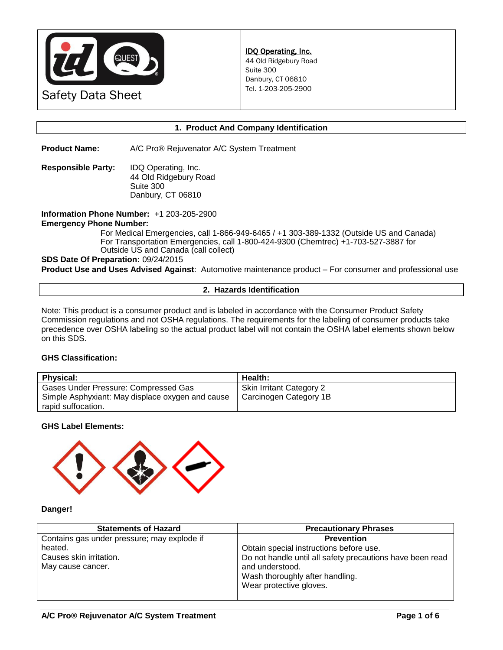

# **1. Product And Company Identification**

**Product Name:** A/C Pro® Rejuvenator A/C System Treatment

**Responsible Party:** IDQ Operating, Inc. 44 Old Ridgebury Road Suite 300 Danbury, CT 06810

**Information Phone Number:** +1 203-205-2900 **Emergency Phone Number:** 

> For Medical Emergencies, call 1-866-949-6465 / +1 303-389-1332 (Outside US and Canada) For Transportation Emergencies, call 1-800-424-9300 (Chemtrec) +1-703-527-3887 for Outside US and Canada (call collect)

#### **SDS Date Of Preparation:** 09/24/2015

**Product Use and Uses Advised Against**: Automotive maintenance product – For consumer and professional use

# **2. Hazards Identification**

Note: This product is a consumer product and is labeled in accordance with the Consumer Product Safety Commission regulations and not OSHA regulations. The requirements for the labeling of consumer products take precedence over OSHA labeling so the actual product label will not contain the OSHA label elements shown below on this SDS.

## **GHS Classification:**

| Physical:                                        | Health:                         |
|--------------------------------------------------|---------------------------------|
| Gases Under Pressure: Compressed Gas             | <b>Skin Irritant Category 2</b> |
| Simple Asphyxiant: May displace oxygen and cause | Carcinogen Category 1B          |
| rapid suffocation.                               |                                 |

## **GHS Label Elements:**



#### **Danger!**

| <b>Statements of Hazard</b>                 | <b>Precautionary Phrases</b>                              |
|---------------------------------------------|-----------------------------------------------------------|
| Contains gas under pressure; may explode if | <b>Prevention</b>                                         |
| heated.                                     | Obtain special instructions before use.                   |
| Causes skin irritation.                     | Do not handle until all safety precautions have been read |
| May cause cancer.                           | and understood.                                           |
|                                             | Wash thoroughly after handling.                           |
|                                             | Wear protective gloves.                                   |
|                                             |                                                           |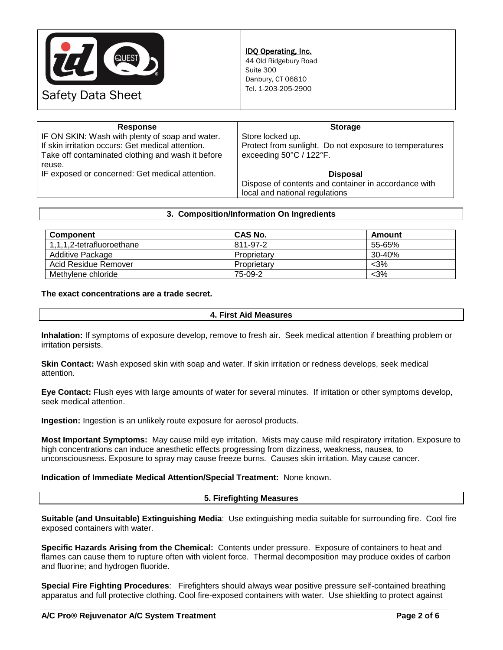

# IDQ Operating, Inc.

44 Old Ridgebury Road Suite 300 Danbury, CT 06810 Tel. 1-203-205-2900

| <b>Response</b>                                   | <b>Storage</b>                                         |
|---------------------------------------------------|--------------------------------------------------------|
| IF ON SKIN: Wash with plenty of soap and water.   | Store locked up.                                       |
| If skin irritation occurs: Get medical attention. | Protect from sunlight. Do not exposure to temperatures |
| Take off contaminated clothing and wash it before | exceeding $50^{\circ}$ C / 122 $^{\circ}$ F.           |
| reuse.                                            |                                                        |
| IF exposed or concerned: Get medical attention.   | <b>Disposal</b>                                        |
|                                                   | Dispose of contents and container in accordance with   |
|                                                   | local and national regulations                         |

#### **3. Composition/Information On Ingredients**

| <b>Component</b>          | CAS No.     | Amount |
|---------------------------|-------------|--------|
| 1,1,1,2-tetrafluoroethane | 811-97-2    | 55-65% |
| Additive Package          | Proprietary | 30-40% |
| Acid Residue Remover      | Proprietary | $<3\%$ |
| Methylene chloride        | 75-09-2     | $<$ 3% |

#### **The exact concentrations are a trade secret.**

#### **4. First Aid Measures**

**Inhalation:** If symptoms of exposure develop, remove to fresh air. Seek medical attention if breathing problem or irritation persists.

**Skin Contact:** Wash exposed skin with soap and water. If skin irritation or redness develops, seek medical attention.

**Eye Contact:** Flush eyes with large amounts of water for several minutes. If irritation or other symptoms develop, seek medical attention.

**Ingestion:** Ingestion is an unlikely route exposure for aerosol products.

**Most Important Symptoms:** May cause mild eye irritation. Mists may cause mild respiratory irritation. Exposure to high concentrations can induce anesthetic effects progressing from dizziness, weakness, nausea, to unconsciousness. Exposure to spray may cause freeze burns. Causes skin irritation. May cause cancer.

## **Indication of Immediate Medical Attention/Special Treatment:** None known.

## **5. Firefighting Measures**

**Suitable (and Unsuitable) Extinguishing Media**: Use extinguishing media suitable for surrounding fire. Cool fire exposed containers with water.

**Specific Hazards Arising from the Chemical:** Contents under pressure. Exposure of containers to heat and flames can cause them to rupture often with violent force. Thermal decomposition may produce oxides of carbon and fluorine; and hydrogen fluoride.

**Special Fire Fighting Procedures**: Firefighters should always wear positive pressure self-contained breathing apparatus and full protective clothing. Cool fire-exposed containers with water. Use shielding to protect against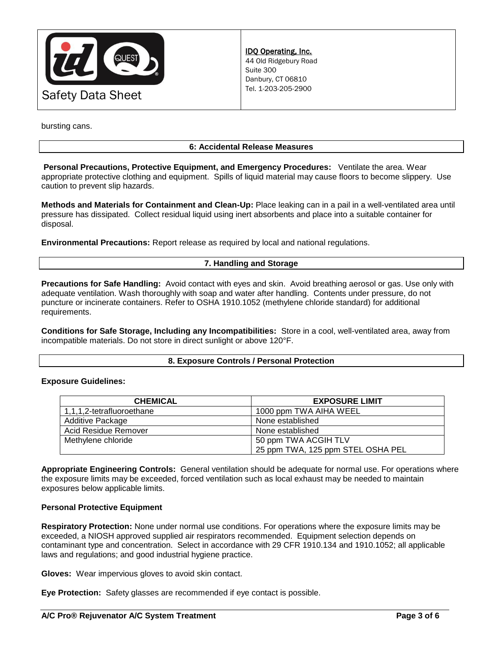

bursting cans.

## **6: Accidental Release Measures**

**Personal Precautions, Protective Equipment, and Emergency Procedures:** Ventilate the area. Wear appropriate protective clothing and equipment. Spills of liquid material may cause floors to become slippery. Use caution to prevent slip hazards.

**Methods and Materials for Containment and Clean-Up:** Place leaking can in a pail in a well-ventilated area until pressure has dissipated. Collect residual liquid using inert absorbents and place into a suitable container for disposal.

**Environmental Precautions:** Report release as required by local and national regulations.

# **7. Handling and Storage**

**Precautions for Safe Handling:** Avoid contact with eyes and skin. Avoid breathing aerosol or gas. Use only with adequate ventilation. Wash thoroughly with soap and water after handling. Contents under pressure, do not puncture or incinerate containers. Refer to OSHA 1910.1052 (methylene chloride standard) for additional requirements.

**Conditions for Safe Storage, Including any Incompatibilities:** Store in a cool, well-ventilated area, away from incompatible materials. Do not store in direct sunlight or above 120°F.

## **8. Exposure Controls / Personal Protection**

#### **Exposure Guidelines:**

| <b>CHEMICAL</b>           | <b>EXPOSURE LIMIT</b>             |
|---------------------------|-----------------------------------|
| 1,1,1,2-tetrafluoroethane | 1000 ppm TWA AIHA WEEL            |
| Additive Package          | None established                  |
| Acid Residue Remover      | None established                  |
| Methylene chloride        | 50 ppm TWA ACGIH TLV              |
|                           | 25 ppm TWA, 125 ppm STEL OSHA PEL |

**Appropriate Engineering Controls:** General ventilation should be adequate for normal use. For operations where the exposure limits may be exceeded, forced ventilation such as local exhaust may be needed to maintain exposures below applicable limits.

## **Personal Protective Equipment**

**Respiratory Protection:** None under normal use conditions. For operations where the exposure limits may be exceeded, a NIOSH approved supplied air respirators recommended. Equipment selection depends on contaminant type and concentration. Select in accordance with 29 CFR 1910.134 and 1910.1052; all applicable laws and regulations; and good industrial hygiene practice.

**Gloves:** Wear impervious gloves to avoid skin contact.

**Eye Protection:** Safety glasses are recommended if eye contact is possible.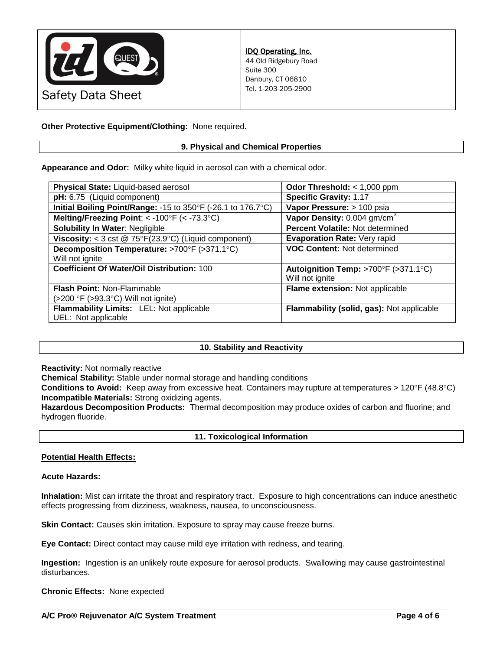

**Other Protective Equipment/Clothing:** None required.

# **9. Physical and Chemical Properties**

**Appearance and Odor:** Milky white liquid in aerosol can with a chemical odor.

| Physical State: Liquid-based aerosol                                 | Odor Threshold: $<$ 1,000 ppm             |
|----------------------------------------------------------------------|-------------------------------------------|
| pH: 6.75 (Liquid component)                                          | <b>Specific Gravity: 1.17</b>             |
| Initial Boiling Point/Range: -15 to 350°F (-26.1 to 176.7°C)         | Vapor Pressure: > 100 psia                |
| Melting/Freezing Point: $<$ -100°F ( $<$ -73.3°C)                    | Vapor Density: 0.004 gm/cm <sup>3</sup>   |
| <b>Solubility In Water: Negligible</b>                               | Percent Volatile: Not determined          |
| Viscosity: < 3 cst @ $75^{\circ}F(23.9^{\circ}C)$ (Liquid component) | Evaporation Rate: Very rapid              |
| Decomposition Temperature: >700°F (>371.1°C)                         | <b>VOC Content: Not determined</b>        |
| Will not ignite                                                      |                                           |
| <b>Coefficient Of Water/Oil Distribution: 100</b>                    | Autoignition Temp: >700°F (>371.1°C)      |
|                                                                      | Will not ignite                           |
| <b>Flash Point: Non-Flammable</b>                                    | Flame extension: Not applicable           |
| $(>200 \degree F (>93.3 \degree C)$ Will not ignite)                 |                                           |
| Flammability Limits: LEL: Not applicable                             | Flammability (solid, gas): Not applicable |
| UEL: Not applicable                                                  |                                           |

# **10. Stability and Reactivity**

**Reactivity:** Not normally reactive

**Chemical Stability:** Stable under normal storage and handling conditions

**Conditions to Avoid:** Keep away from excessive heat. Containers may rupture at temperatures > 120°F (48.8°C) **Incompatible Materials:** Strong oxidizing agents.

**Hazardous Decomposition Products:** Thermal decomposition may produce oxides of carbon and fluorine; and hydrogen fluoride.

## **11. Toxicological Information**

## **Potential Health Effects:**

**Acute Hazards:**

**Inhalation:** Mist can irritate the throat and respiratory tract. Exposure to high concentrations can induce anesthetic effects progressing from dizziness, weakness, nausea, to unconsciousness.

**Skin Contact:** Causes skin irritation. Exposure to spray may cause freeze burns.

**Eye Contact:** Direct contact may cause mild eye irritation with redness, and tearing.

**Ingestion:** Ingestion is an unlikely route exposure for aerosol products. Swallowing may cause gastrointestinal disturbances.

**Chronic Effects:** None expected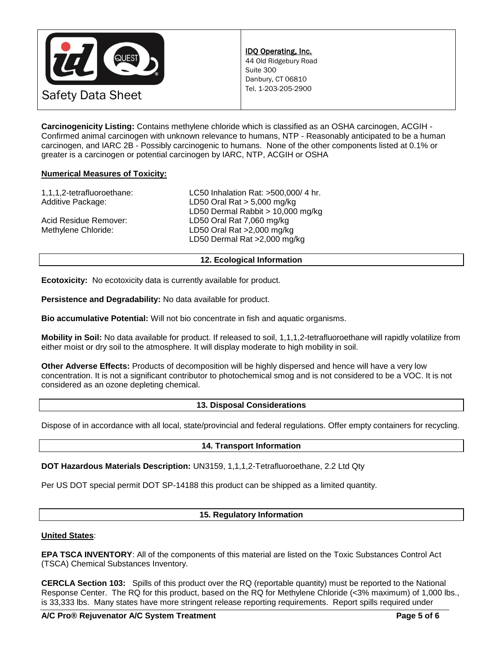

**Carcinogenicity Listing:** Contains methylene chloride which is classified as an OSHA carcinogen, ACGIH - Confirmed animal carcinogen with unknown relevance to humans, NTP - Reasonably anticipated to be a human carcinogen, and IARC 2B - Possibly carcinogenic to humans. None of the other components listed at 0.1% or greater is a carcinogen or potential carcinogen by IARC, NTP, ACGIH or OSHA

# **Numerical Measures of Toxicity:**

1,1,1,2-tetrafluoroethane: LC50 Inhalation Rat: >500,000/ 4 hr. Additive Package: LD50 Oral Rat > 5,000 mg/kg LD50 Dermal Rabbit > 10,000 mg/kg Acid Residue Remover: LD50 Oral Rat 7,060 mg/kg Methylene Chloride: LD50 Oral Rat >2,000 mg/kg LD50 Dermal Rat >2,000 mg/kg

## **12. Ecological Information**

**Ecotoxicity:** No ecotoxicity data is currently available for product.

**Persistence and Degradability:** No data available for product.

**Bio accumulative Potential:** Will not bio concentrate in fish and aquatic organisms.

**Mobility in Soil:** No data available for product. If released to soil, 1,1,1,2-tetrafluoroethane will rapidly volatilize from either moist or dry soil to the atmosphere. It will display moderate to high mobility in soil.

**Other Adverse Effects:** Products of decomposition will be highly dispersed and hence will have a very low concentration. It is not a significant contributor to photochemical smog and is not considered to be a VOC. It is not considered as an ozone depleting chemical.

## **13. Disposal Considerations**

Dispose of in accordance with all local, state/provincial and federal regulations. Offer empty containers for recycling.

## **14. Transport Information**

**DOT Hazardous Materials Description:** UN3159, 1,1,1,2-Tetrafluoroethane, 2.2 Ltd Qty

Per US DOT special permit DOT SP-14188 this product can be shipped as a limited quantity.

## **15. Regulatory Information**

## **United States**:

**EPA TSCA INVENTORY**: All of the components of this material are listed on the Toxic Substances Control Act (TSCA) Chemical Substances Inventory.

**CERCLA Section 103:** Spills of this product over the RQ (reportable quantity) must be reported to the National Response Center. The RQ for this product, based on the RQ for Methylene Chloride (<3% maximum) of 1,000 lbs., is 33,333 lbs. Many states have more stringent release reporting requirements. Report spills required under